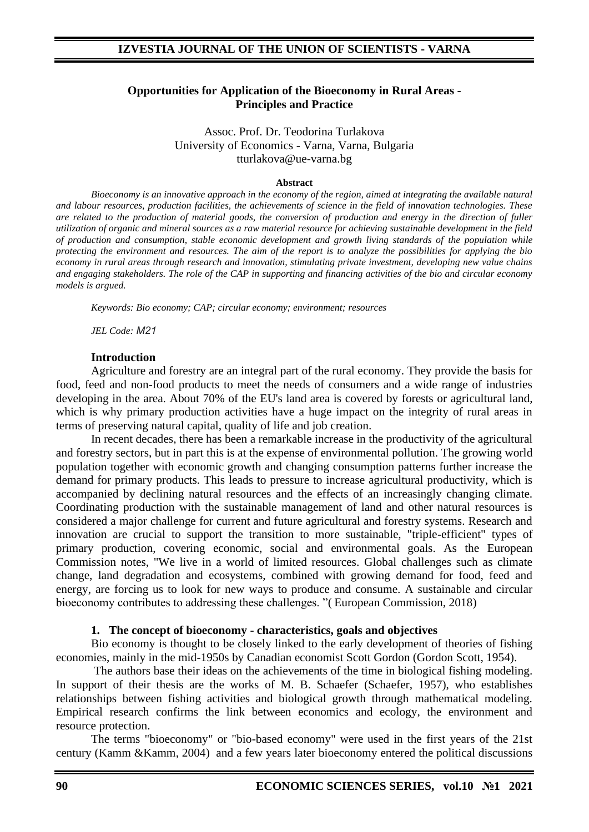### **Opportunities for Application of the Bioeconomy in Rural Areas - Principles and Practice**

Assoc. Prof. Dr. Teodorina Turlakova University of Economics - Varna, Varna, Bulgaria tturlakova@ue-varna.bg

#### **Abstract**

*Bioeconomy is an innovative approach in the economy of the region, aimed at integrating the available natural and labour resources, production facilities, the achievements of science in the field of innovation technologies. These are related to the production of material goods, the conversion of production and energy in the direction of fuller utilization of organic and mineral sources as a raw material resource for achieving sustainable development in the field of production and consumption, stable economic development and growth living standards of the population while protecting the environment and resources. The aim of the report is to analyze the possibilities for applying the bio economy in rural areas through research and innovation, stimulating private investment, developing new value chains and engaging stakeholders. The role of the CAP in supporting and financing activities of the bio and circular economy models is argued.*

*Keywords: Bio economy; CAP; circular economy; environment; resources*

*JEL Code: М21*

#### **Introduction**

Agriculture and forestry are an integral part of the rural economy. They provide the basis for food, feed and non-food products to meet the needs of consumers and a wide range of industries developing in the area. About 70% of the EU's land area is covered by forests or agricultural land, which is why primary production activities have a huge impact on the integrity of rural areas in terms of preserving natural capital, quality of life and job creation.

In recent decades, there has been a remarkable increase in the productivity of the agricultural and forestry sectors, but in part this is at the expense of environmental pollution. The growing world population together with economic growth and changing consumption patterns further increase the demand for primary products. This leads to pressure to increase agricultural productivity, which is accompanied by declining natural resources and the effects of an increasingly changing climate. Coordinating production with the sustainable management of land and other natural resources is considered a major challenge for current and future agricultural and forestry systems. Research and innovation are crucial to support the transition to more sustainable, "triple-efficient" types of primary production, covering economic, social and environmental goals. As the European Commission notes, "We live in a world of limited resources. Global challenges such as climate change, land degradation and ecosystems, combined with growing demand for food, feed and energy, are forcing us to look for new ways to produce and consume. A sustainable and circular bioeconomy contributes to addressing these challenges. "( European Commission, 2018)

#### **1. The concept of bioeconomy - characteristics, goals and objectives**

Bio economy is thought to be closely linked to the early development of theories of fishing economies, mainly in the mid-1950s by Canadian economist Scott Gordon (Gordon Scott, 1954).

The authors base their ideas on the achievements of the time in biological fishing modeling. In support of their thesis are the works of M. B. Schaefer (Schaefer, 1957), who establishes relationships between fishing activities and biological growth through mathematical modeling. Empirical research confirms the link between economics and ecology, the environment and resource protection.

The terms "bioeconomy" or "bio-based economy" were used in the first years of the 21st century (Kamm &Kamm, 2004) and a few years later bioeconomy entered the political discussions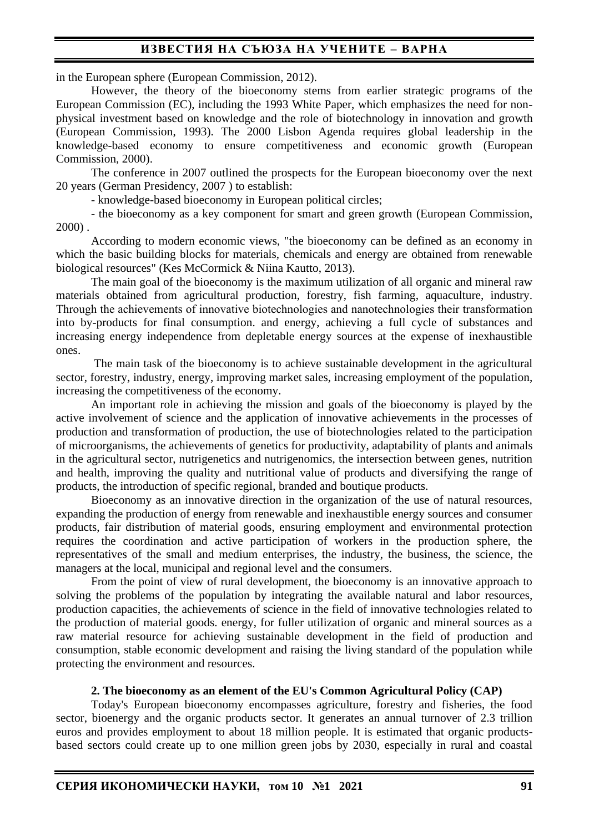## **ИЗВЕСТИЯ НА СЪЮЗА НА УЧЕНИТЕ – ВАРНА**

in the European sphere (European Commission, 2012).

However, the theory of the bioeconomy stems from earlier strategic programs of the European Commission (EC), including the 1993 White Paper, which emphasizes the need for nonphysical investment based on knowledge and the role of biotechnology in innovation and growth (European Commission, 1993). The 2000 Lisbon Agenda requires global leadership in the knowledge-based economy to ensure competitiveness and economic growth (European Commission, 2000).

The conference in 2007 outlined the prospects for the European bioeconomy over the next 20 years (German Presidency, 2007 ) to establish:

- knowledge-based bioeconomy in European political circles;

- the bioeconomy as a key component for smart and green growth (European Commission, 2000) .

According to modern economic views, "the bioeconomy can be defined as an economy in which the basic building blocks for materials, chemicals and energy are obtained from renewable biological resources" (Kes McCormick & Niina Kautto, 2013).

The main goal of the bioeconomy is the maximum utilization of all organic and mineral raw materials obtained from agricultural production, forestry, fish farming, aquaculture, industry. Тhrough the achievements of innovative biotechnologies and nanotechnologies their transformation into by-products for final consumption. and energy, achieving a full cycle of substances and increasing energy independence from depletable energy sources at the expense of inexhaustible ones.

The main task of the bioeconomy is to achieve sustainable development in the agricultural sector, forestry, industry, energy, improving market sales, increasing employment of the population, increasing the competitiveness of the economy.

An important role in achieving the mission and goals of the bioeconomy is played by the active involvement of science and the application of innovative achievements in the processes of production and transformation of production, the use of biotechnologies related to the participation of microorganisms, the achievements of genetics for productivity, adaptability of plants and animals in the agricultural sector, nutrigenetics and nutrigenomics, the intersection between genes, nutrition and health, improving the quality and nutritional value of products and diversifying the range of products, the introduction of specific regional, branded and boutique products.

Bioeconomy as an innovative direction in the organization of the use of natural resources, expanding the production of energy from renewable and inexhaustible energy sources and consumer products, fair distribution of material goods, ensuring employment and environmental protection requires the coordination and active participation of workers in the production sphere, the representatives of the small and medium enterprises, the industry, the business, the science, the managers at the local, municipal and regional level and the consumers.

From the point of view of rural development, the bioeconomy is an innovative approach to solving the problems of the population by integrating the available natural and labor resources, production capacities, the achievements of science in the field of innovative technologies related to the production of material goods. energy, for fuller utilization of organic and mineral sources as a raw material resource for achieving sustainable development in the field of production and consumption, stable economic development and raising the living standard of the population while protecting the environment and resources.

#### **2. The bioeconomy as an element of the EU's Common Agricultural Policy (CAP)**

Today's European bioeconomy encompasses agriculture, forestry and fisheries, the food sector, bioenergy and the organic products sector. It generates an annual turnover of 2.3 trillion euros and provides employment to about 18 million people. It is estimated that organic productsbased sectors could create up to one million green jobs by 2030, especially in rural and coastal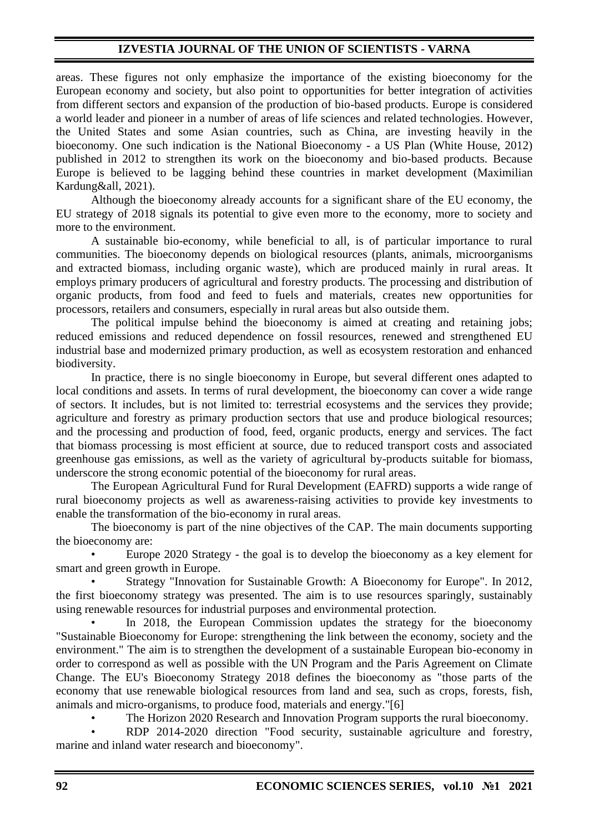# **IZVESTIA JOURNAL OF THE UNION OF SCIENTISTS - VARNA**

areas. These figures not only emphasize the importance of the existing bioeconomy for the European economy and society, but also point to opportunities for better integration of activities from different sectors and expansion of the production of bio-based products. Europe is considered a world leader and pioneer in a number of areas of life sciences and related technologies. However, the United States and some Asian countries, such as China, are investing heavily in the bioeconomy. One such indication is the National Bioeconomy - a US Plan (White House, 2012) published in 2012 to strengthen its work on the bioeconomy and bio-based products. Because Europe is believed to be lagging behind these countries in market development (Maximilian Kardung&all, 2021).

Although the bioeconomy already accounts for a significant share of the EU economy, the EU strategy of 2018 signals its potential to give even more to the economy, more to society and more to the environment.

A sustainable bio-economy, while beneficial to all, is of particular importance to rural communities. The bioeconomy depends on biological resources (plants, animals, microorganisms and extracted biomass, including organic waste), which are produced mainly in rural areas. It employs primary producers of agricultural and forestry products. The processing and distribution of organic products, from food and feed to fuels and materials, creates new opportunities for processors, retailers and consumers, especially in rural areas but also outside them.

The political impulse behind the bioeconomy is aimed at creating and retaining jobs; reduced emissions and reduced dependence on fossil resources, renewed and strengthened EU industrial base and modernized primary production, as well as ecosystem restoration and enhanced biodiversity.

In practice, there is no single bioeconomy in Europe, but several different ones adapted to local conditions and assets. In terms of rural development, the bioeconomy can cover a wide range of sectors. It includes, but is not limited to: terrestrial ecosystems and the services they provide; agriculture and forestry as primary production sectors that use and produce biological resources; and the processing and production of food, feed, organic products, energy and services. The fact that biomass processing is most efficient at source, due to reduced transport costs and associated greenhouse gas emissions, as well as the variety of agricultural by-products suitable for biomass, underscore the strong economic potential of the bioeconomy for rural areas.

The European Agricultural Fund for Rural Development (EAFRD) supports a wide range of rural bioeconomy projects as well as awareness-raising activities to provide key investments to enable the transformation of the bio-economy in rural areas.

The bioeconomy is part of the nine objectives of the CAP. The main documents supporting the bioeconomy are:

• Europe 2020 Strategy - the goal is to develop the bioeconomy as a key element for smart and green growth in Europe.

• Strategy "Innovation for Sustainable Growth: A Bioeconomy for Europe". In 2012, the first bioeconomy strategy was presented. The aim is to use resources sparingly, sustainably using renewable resources for industrial purposes and environmental protection.

In 2018, the European Commission updates the strategy for the bioeconomy "Sustainable Bioeconomy for Europe: strengthening the link between the economy, society and the environment." The aim is to strengthen the development of a sustainable European bio-economy in order to correspond as well as possible with the UN Program and the Paris Agreement on Climate Change. The EU's Bioeconomy Strategy 2018 defines the bioeconomy as "those parts of the economy that use renewable biological resources from land and sea, such as crops, forests, fish, animals and micro-organisms, to produce food, materials and energy."[6]

• The Horizon 2020 Research and Innovation Program supports the rural bioeconomy.

• RDP 2014-2020 direction "Food security, sustainable agriculture and forestry, marine and inland water research and bioeconomy".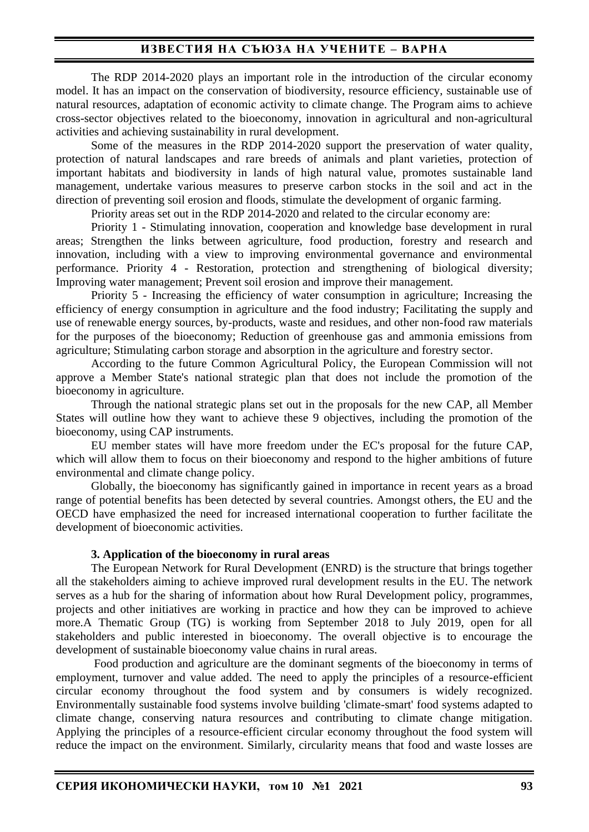## **ИЗВЕСТИЯ НА СЪЮЗА НА УЧЕНИТЕ – ВАРНА**

The RDP 2014-2020 plays an important role in the introduction of the circular economy model. It has an impact on the conservation of biodiversity, resource efficiency, sustainable use of natural resources, adaptation of economic activity to climate change. The Program aims to achieve cross-sector objectives related to the bioeconomy, innovation in agricultural and non-agricultural activities and achieving sustainability in rural development.

Some of the measures in the RDP 2014-2020 support the preservation of water quality, protection of natural landscapes and rare breeds of animals and plant varieties, protection of important habitats and biodiversity in lands of high natural value, promotes sustainable land management, undertake various measures to preserve carbon stocks in the soil and act in the direction of preventing soil erosion and floods, stimulate the development of organic farming.

Priority areas set out in the RDP 2014-2020 and related to the circular economy are:

Priority 1 - Stimulating innovation, cooperation and knowledge base development in rural areas; Strengthen the links between agriculture, food production, forestry and research and innovation, including with a view to improving environmental governance and environmental performance. Priority 4 - Restoration, protection and strengthening of biological diversity; Improving water management; Prevent soil erosion and improve their management.

Priority 5 - Increasing the efficiency of water consumption in agriculture; Increasing the efficiency of energy consumption in agriculture and the food industry; Facilitating the supply and use of renewable energy sources, by-products, waste and residues, and other non-food raw materials for the purposes of the bioeconomy; Reduction of greenhouse gas and ammonia emissions from agriculture; Stimulating carbon storage and absorption in the agriculture and forestry sector.

According to the future Common Agricultural Policy, the European Commission will not approve a Member State's national strategic plan that does not include the promotion of the bioeconomy in agriculture.

Through the national strategic plans set out in the proposals for the new CAP, all Member States will outline how they want to achieve these 9 objectives, including the promotion of the bioeconomy, using CAP instruments.

EU member states will have more freedom under the EC's proposal for the future CAP, which will allow them to focus on their bioeconomy and respond to the higher ambitions of future environmental and climate change policy.

Globally, the bioeconomy has significantly gained in importance in recent years as a broad range of potential benefits has been detected by several countries. Amongst others, the EU and the OECD have emphasized the need for increased international cooperation to further facilitate the development of bioeconomic activities.

#### **3. Application of the bioeconomy in rural areas**

The European Network for Rural Development (ENRD) is the structure that brings together all the stakeholders aiming to achieve improved rural development results in the EU. The network serves as a hub for the sharing of information about how Rural Development policy, programmes, projects and other initiatives are working in practice and how they can be improved to achieve more.A Thematic Group (TG) is working from September 2018 to July 2019, open for all stakeholders and public interested in bioeconomy. The overall objective is to encourage the development of sustainable bioeconomy value chains in rural areas.

Food production and agriculture are the dominant segments of the bioeconomy in terms of employment, turnover and value added. The need to apply the principles of a resource-efficient circular economy throughout the food system and by consumers is widely recognized. Environmentally sustainable food systems involve building 'climate-smart' food systems adapted to climate change, conserving natura resources and contributing to climate change mitigation. Applying the principles of a resource-efficient circular economy throughout the food system will reduce the impact on the environment. Similarly, circularity means that food and waste losses are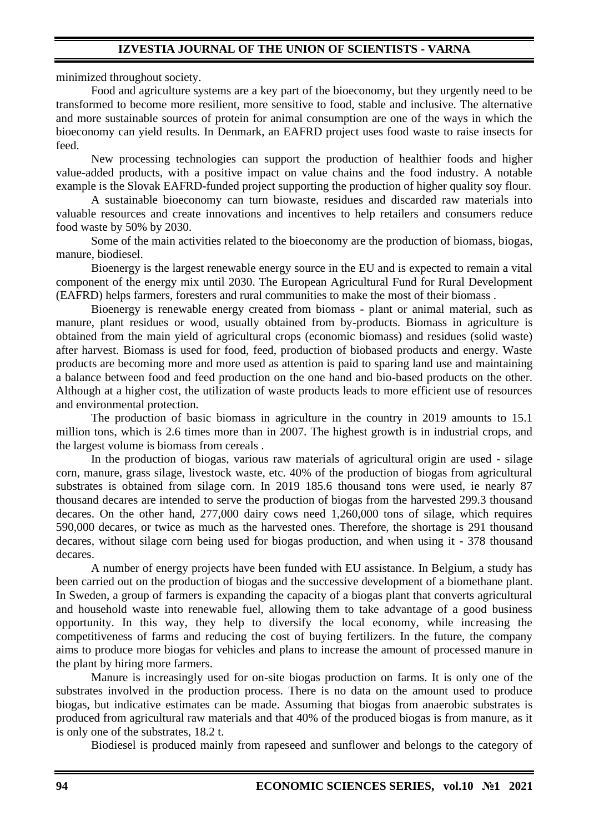minimized throughout society.

Food and agriculture systems are a key part of the bioeconomy, but they urgently need to be transformed to become more resilient, more sensitive to food, stable and inclusive. The alternative and more sustainable sources of protein for animal consumption are one of the ways in which the bioeconomy can yield results. In Denmark, an EAFRD project uses food waste to raise insects for feed.

New processing technologies can support the production of healthier foods and higher value-added products, with a positive impact on value chains and the food industry. A notable example is the Slovak EAFRD-funded project supporting the production of higher quality soy flour.

A sustainable bioeconomy can turn biowaste, residues and discarded raw materials into valuable resources and create innovations and incentives to help retailers and consumers reduce food waste by 50% by 2030.

Some of the main activities related to the bioeconomy are the production of biomass, biogas, manure, biodiesel.

Bioenergy is the largest renewable energy source in the EU and is expected to remain a vital component of the energy mix until 2030. The European Agricultural Fund for Rural Development (EAFRD) helps farmers, foresters and rural communities to make the most of their biomass .

Bioenergy is renewable energy created from biomass - plant or animal material, such as manure, plant residues or wood, usually obtained from by-products. Biomass in agriculture is obtained from the main yield of agricultural crops (economic biomass) and residues (solid waste) after harvest. Biomass is used for food, feed, production of biobased products and energy. Waste products are becoming more and more used as attention is paid to sparing land use and maintaining a balance between food and feed production on the one hand and bio-based products on the other. Although at a higher cost, the utilization of waste products leads to more efficient use of resources and environmental protection.

The production of basic biomass in agriculture in the country in 2019 amounts to 15.1 million tons, which is 2.6 times more than in 2007. The highest growth is in industrial crops, and the largest volume is biomass from cereals .

In the production of biogas, various raw materials of agricultural origin are used - silage corn, manure, grass silage, livestock waste, etc. 40% of the production of biogas from agricultural substrates is obtained from silage corn. In 2019 185.6 thousand tons were used, ie nearly 87 thousand decares are intended to serve the production of biogas from the harvested 299.3 thousand decares. On the other hand, 277,000 dairy cows need 1,260,000 tons of silage, which requires 590,000 decares, or twice as much as the harvested ones. Therefore, the shortage is 291 thousand decares, without silage corn being used for biogas production, and when using it - 378 thousand decares.

A number of energy projects have been funded with EU assistance. In Belgium, a study has been carried out on the production of biogas and the successive development of a biomethane plant. In Sweden, a group of farmers is expanding the capacity of a biogas plant that converts agricultural and household waste into renewable fuel, allowing them to take advantage of a good business opportunity. In this way, they help to diversify the local economy, while increasing the competitiveness of farms and reducing the cost of buying fertilizers. In the future, the company aims to produce more biogas for vehicles and plans to increase the amount of processed manure in the plant by hiring more farmers.

Manure is increasingly used for on-site biogas production on farms. It is only one of the substrates involved in the production process. There is no data on the amount used to produce biogas, but indicative estimates can be made. Assuming that biogas from anaerobic substrates is produced from agricultural raw materials and that 40% of the produced biogas is from manure, as it is only one of the substrates, 18.2 t.

Biodiesel is produced mainly from rapeseed and sunflower and belongs to the category of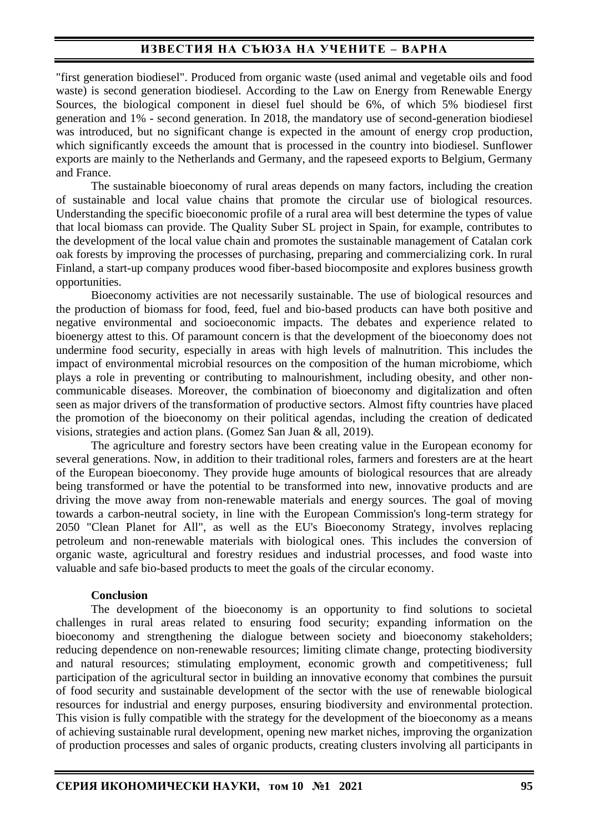# **ИЗВЕСТИЯ НА СЪЮЗА НА УЧЕНИТЕ – ВАРНА**

"first generation biodiesel". Produced from organic waste (used animal and vegetable oils and food waste) is second generation biodiesel. According to the Law on Energy from Renewable Energy Sources, the biological component in diesel fuel should be 6%, of which 5% biodiesel first generation and 1% - second generation. In 2018, the mandatory use of second-generation biodiesel was introduced, but no significant change is expected in the amount of energy crop production, which significantly exceeds the amount that is processed in the country into biodiesel. Sunflower exports are mainly to the Netherlands and Germany, and the rapeseed exports to Belgium, Germany and France.

The sustainable bioeconomy of rural areas depends on many factors, including the creation of sustainable and local value chains that promote the circular use of biological resources. Understanding the specific bioeconomic profile of a rural area will best determine the types of value that local biomass can provide. The Quality Suber SL project in Spain, for example, contributes to the development of the local value chain and promotes the sustainable management of Catalan cork oak forests by improving the processes of purchasing, preparing and commercializing cork. In rural Finland, a start-up company produces wood fiber-based biocomposite and explores business growth opportunities.

Bioeconomy activities are not necessarily sustainable. The use of biological resources and the production of biomass for food, feed, fuel and bio-based products can have both positive and negative environmental and socioeconomic impacts. The debates and experience related to bioenergy attest to this. Of paramount concern is that the development of the bioeconomy does not undermine food security, especially in areas with high levels of malnutrition. This includes the impact of environmental microbial resources on the composition of the human microbiome, which plays a role in preventing or contributing to malnourishment, including obesity, and other noncommunicable diseases. Moreover, the combination of bioeconomy and digitalization and often seen as major drivers of the transformation of productive sectors. Almost fifty countries have placed the promotion of the bioeconomy on their political agendas, including the creation of dedicated visions, strategies and action plans. (Gomez San Juan & all, 2019).

The agriculture and forestry sectors have been creating value in the European economy for several generations. Now, in addition to their traditional roles, farmers and foresters are at the heart of the European bioeconomy. They provide huge amounts of biological resources that are already being transformed or have the potential to be transformed into new, innovative products and are driving the move away from non-renewable materials and energy sources. The goal of moving towards a carbon-neutral society, in line with the European Commission's long-term strategy for 2050 "Clean Planet for All", as well as the EU's Bioeconomy Strategy, involves replacing petroleum and non-renewable materials with biological ones. This includes the conversion of organic waste, agricultural and forestry residues and industrial processes, and food waste into valuable and safe bio-based products to meet the goals of the circular economy.

### **Conclusion**

The development of the bioeconomy is an opportunity to find solutions to societal challenges in rural areas related to ensuring food security; expanding information on the bioeconomy and strengthening the dialogue between society and bioeconomy stakeholders; reducing dependence on non-renewable resources; limiting climate change, protecting biodiversity and natural resources; stimulating employment, economic growth and competitiveness; full participation of the agricultural sector in building an innovative economy that combines the pursuit of food security and sustainable development of the sector with the use of renewable biological resources for industrial and energy purposes, ensuring biodiversity and environmental protection. This vision is fully compatible with the strategy for the development of the bioeconomy as a means of achieving sustainable rural development, opening new market niches, improving the organization of production processes and sales of organic products, creating clusters involving all participants in